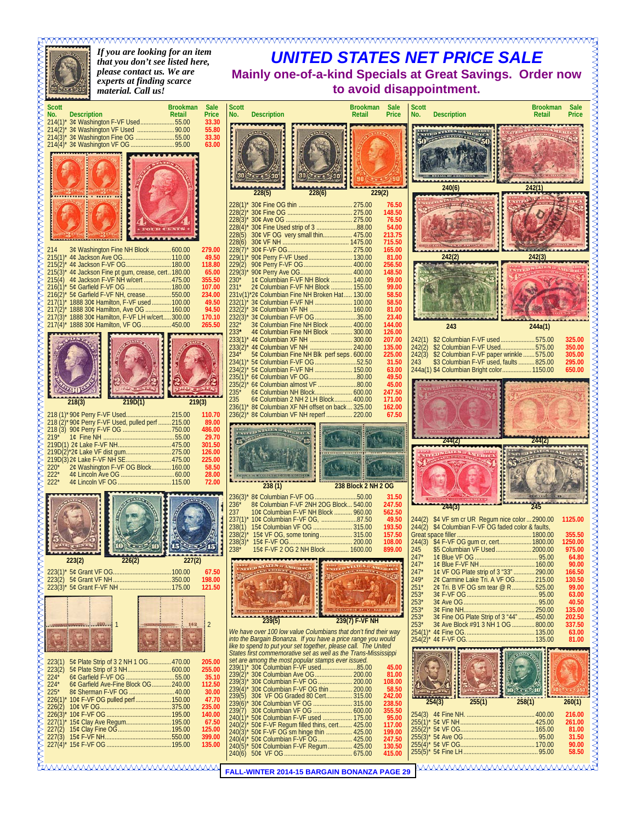## 

*If you are looking for an item that you don't see listed here, please contact us. We are experts at finding scarce material. Call us!* 

## *UNITED STATES NET PRICE SALE* **Mainly one-of-a-kind Specials at Great Savings. Order now to avoid disappointment.**

| <b>Scott</b><br>No.         | <b>Description</b><br>214(1)* 3¢ Washington F-VF Used55.00                                                                           | <b>Brookman</b><br>Retail | <b>Sale</b><br>Price<br>33.30       | <b>Scott</b><br>No.                  | <b>Description</b>                                                                                                                                                                       | <b>Brookman</b><br><b>Retail</b> | <b>Sale</b><br>Price                | <b>Scott</b><br>No.            |
|-----------------------------|--------------------------------------------------------------------------------------------------------------------------------------|---------------------------|-------------------------------------|--------------------------------------|------------------------------------------------------------------------------------------------------------------------------------------------------------------------------------------|----------------------------------|-------------------------------------|--------------------------------|
|                             |                                                                                                                                      |                           | 55.80<br>33.30<br>63.00             |                                      |                                                                                                                                                                                          |                                  |                                     |                                |
|                             |                                                                                                                                      |                           |                                     |                                      |                                                                                                                                                                                          |                                  |                                     |                                |
|                             |                                                                                                                                      |                           |                                     |                                      | 228(5)<br>228(6)                                                                                                                                                                         | 229(2)                           |                                     |                                |
|                             |                                                                                                                                      |                           |                                     | $228(3)^{*}$                         |                                                                                                                                                                                          |                                  | 76.50<br>148.50<br>76.50            |                                |
|                             |                                                                                                                                      |                           |                                     | 228(5)<br>228(6)                     | 228(4)* 30¢ Fine Used strip of 3 88.00<br>30¢ VF OG very small thin 475.00                                                                                                               |                                  | 54.00<br>213.75<br>715.50           |                                |
| 214                         | 3¢ Washington Fine NH Block 600.00                                                                                                   |                           | 279.00<br>49.50<br>118.80           | 229(2)                               | 229(1)* 90¢ Perry F-VF Used 130.00                                                                                                                                                       |                                  | 165.00<br>81.00<br>256.50           |                                |
|                             | 215(3)* 4¢ Jackson Fine pt gum, crease, cert180.00<br>215(4) 4¢ Jackson F-VF NH w/cert  475.00                                       |                           | 65.00<br>355.50<br>107.00           | $230*$<br>$231*$                     | 1¢ Columbian F-VF NH Block  140.00<br>2¢ Columbian F-VF NH Block  155.00                                                                                                                 |                                  | 148.50<br>99.00<br>99.00            |                                |
|                             | 216(2)* 5¢ Garfield F-VF NH, crease550.00<br>217(1)* 1888 30¢ Hamilton, F-VF used100.00<br>217(2)* 1888 30¢ Hamilton, Ave OG  160.00 |                           | 234.00<br>49.50<br>94.50            | $232(1)^{*}$                         | 231v(1)*2¢ Columbian Fine NH Broken Hat 130.00<br>3¢ Columbian F-VF NH  100.00<br>232(2)* 3¢ Columbian VF NH  160.00                                                                     |                                  | 58.50<br>58.50<br>81.00             |                                |
|                             | 217(3)* 1888 30¢ Hamilton, F-VF LH w/cert300.00<br>217(4)* 1888 30¢ Hamilton, VF OG  450.00                                          |                           | 170.10<br>265.50                    | $232^{\circ}$<br>$233*$              | 232(3)* 3¢ Columbian F-VF OG 35.00<br>3¢ Columbian Fine NH Block  400.00<br>4¢ Columbian Fine NH Block  300.00<br>233(1)* 4¢ Columbian XF NH  300.00                                     |                                  | 23.40<br>144.00<br>126.00<br>207.00 | 242(1                          |
|                             |                                                                                                                                      |                           |                                     | $234*$                               | 233(2)* 4¢ Columbian VF NH  240.00<br>5¢ Columbian Fine NH Blk perf seps. 600.00<br>234(1)* 5¢ Columbian F-VF OG 52.50                                                                   |                                  | 135.00<br>225.00<br>31.50           | 242(2<br>242(3<br>243          |
|                             |                                                                                                                                      |                           |                                     |                                      | 234(2)* 5¢ Columbian F-VF NH  150.00<br>235(1)* 6¢ Columbian VF OG80.00<br>235(2)* 6¢ Columbian almost VF 80.00                                                                          |                                  | 63.00<br>49.50<br>45.00             | 244a(                          |
|                             | 219D(1)<br>218(3)                                                                                                                    | 219(3)                    |                                     | $235^{\circ}$<br>235                 | 6¢ Columbian NH Block 600.00<br>6¢ Columbian 2 NH 2 LH Block 400.00<br>236(1)* 8¢ Columbian XF NH offset on back 325.00                                                                  |                                  | 247.50<br>171.00<br>162.00          |                                |
|                             | 218 (2)* 90¢ Perry F-VF Used, pulled perf  215.00                                                                                    |                           | 110.70<br>89.00<br>486.00           |                                      | 236(2)* 8¢ Columbian VF NH reperf  220.00                                                                                                                                                |                                  | 67.50                               |                                |
| 219"                        | 219D(3) 2¢ Lake F-VF NH SE  475.00                                                                                                   |                           | 29.70<br>301.50<br>126.00<br>225.00 |                                      |                                                                                                                                                                                          |                                  |                                     |                                |
| $220^*$<br>$222*$<br>$222*$ | 2¢ Washington F-VF OG Block160.00                                                                                                    |                           | 58.50<br>28.00<br>72.00             |                                      |                                                                                                                                                                                          |                                  |                                     |                                |
|                             |                                                                                                                                      |                           |                                     |                                      | 238(1)<br>236(3)* 8¢ Columbian F-VF OG 50.00                                                                                                                                             | <b>238 Block 2 NH 2 OG</b>       | 31.50                               |                                |
|                             |                                                                                                                                      |                           |                                     | 236'<br>237                          | 8¢ Columbian F-VF 2NH 2OG Block 540.00<br>10¢ Columbian F-VF NH Block  960.00<br>237(1)* 10¢ Columbian F-VF OG, 87.50                                                                    |                                  | 247.50<br>562.50<br>49.50           | 244(2                          |
|                             |                                                                                                                                      |                           |                                     | 238(1)<br>$238(2)$ *<br>$238(3)^{*}$ | 15¢ Columbian VF OG  315.00<br>15¢ VF OG, some toning 315.00                                                                                                                             |                                  | 193.50<br>157.50<br>108.00          | 244(2<br>Great<br>244(3        |
|                             | 223(2)<br>226(2)                                                                                                                     | 227(2)                    |                                     | $238*$                               | 15¢ F-VF 2 OG 2 NH Block  1600.00                                                                                                                                                        |                                  | 899.00                              | 245<br>$247*$<br>247*          |
|                             |                                                                                                                                      |                           | 67.50<br>198.00<br>121.50           |                                      |                                                                                                                                                                                          |                                  |                                     | 247*<br>249*<br>251*<br>$253*$ |
|                             |                                                                                                                                      |                           |                                     |                                      | <b>COLUMBUS AT - LA - RABIDAD</b>                                                                                                                                                        |                                  |                                     | $253*$<br>$253*$<br>$253*$     |
|                             | $\mathbf{1}$                                                                                                                         | ,162                      | $\overline{2}$                      |                                      | 239(5)<br>We have over 100 low value Columbians that don't find their way<br>into the Bargain Bonanza. If you have a price range you would                                               | 239(7) F-VF NH                   |                                     | 253'<br>254(1<br>254(2         |
| 223(1)                      | 5¢ Plate Strip of 3 2 NH 1 OG470.00                                                                                                  |                           | 205.00                              |                                      | like to spend to put your set together, please call. The United<br>States first commemorative set as well as the Trans-Mississippi<br>set are among the most popular stamps ever issued. |                                  |                                     |                                |
| 223(2)<br>224'<br>$224*$    | 6¢ Garfield Ave-Fine Block OG240.00                                                                                                  |                           | 255.00<br>35.10<br>112.50           |                                      | 239(1)* 30¢ Columbian F-VF used85.00<br>239(2)* 30¢ Columbian Ave OG 200.00                                                                                                              |                                  | 45.00<br>81.00<br>108.00<br>58.50   |                                |
| 225'<br>226(2)              | 8¢ Sherman F-VF OG  40.00                                                                                                            |                           | 30.00<br>47.70<br>235.00            |                                      | 239(4)* 30¢ Columbian F-VF OG thin  200.00<br>239(5) 30¢ VF OG Graded 80 Cert 315.00<br>30¢ VF OG Graded 80 Cert 315.00<br>239(6)* 30¢ Columbian VF OG  315.00                           |                                  | 242.00<br>238.50<br>355.50          |                                |
|                             |                                                                                                                                      |                           | 140.00<br>67.50<br>125.00           |                                      | 240(1)* 50¢ Columbian F-VF used  175.00<br>240(2)* 50¢ F-VF Regum filled thins, cert 425.00<br>240(3)* 50¢ F-VF OG sm hinge thin  425.00                                                 |                                  | 95.00<br>117.00                     | 254(3<br>255(1)<br>255(2)      |
|                             |                                                                                                                                      |                           | 399.00<br>135.00                    |                                      | 240(4)* 50¢ Columbian F-VF OG  425.00<br>240(5)* 50¢ Columbian F-VF Regum 425.00                                                                                                         |                                  | 199.00<br>247.50<br>130.50          | 255(3)<br>255(4                |
|                             | wwwwwwwwwwww                                                                                                                         |                           |                                     |                                      |                                                                                                                                                                                          |                                  | 415.00                              | 255(5                          |

| Scott<br>No.<br><b>Description</b>                                                                                                                                                                                                                                | <b>Brookman</b><br><b>Retail</b> | <b>Sale</b><br>Price                                                     | Scott<br>No.                      | <b>Description</b>                                                                                                                                                                                    | Brookman<br><b>Retail</b> | Sale<br>Price                                  |
|-------------------------------------------------------------------------------------------------------------------------------------------------------------------------------------------------------------------------------------------------------------------|----------------------------------|--------------------------------------------------------------------------|-----------------------------------|-------------------------------------------------------------------------------------------------------------------------------------------------------------------------------------------------------|---------------------------|------------------------------------------------|
|                                                                                                                                                                                                                                                                   |                                  |                                                                          |                                   |                                                                                                                                                                                                       |                           |                                                |
| 228(5)<br>228(6)                                                                                                                                                                                                                                                  | 229(2)                           |                                                                          |                                   | 240(6)                                                                                                                                                                                                | 242(1)                    |                                                |
| 228(1)*<br>$\frac{228(2)^*}{228(3)^*}$<br>30¢ Fine Used strip of 3 88.00<br>$228(4)$ *<br>30¢ VF OG very small thin 475.00<br>228(5)<br>228(6)<br>$228(7)^*$<br>90¢ Perry F-VF Used 130.00<br>$229(1)^{*}$                                                        |                                  | 76.50<br>148.50<br>76.50<br>54.00<br>213.75<br>715.50<br>165.00<br>81.00 |                                   | 242(2)                                                                                                                                                                                                | 242(3)                    |                                                |
| 229(2)                                                                                                                                                                                                                                                            |                                  | 256.50                                                                   |                                   |                                                                                                                                                                                                       |                           |                                                |
| $229(3)$ *<br>230*<br>$231*$<br>2¢ Columbian F-VF NH Block  155.00<br>231v(1)*2¢ Columbian Fine NH Broken Hat 130.00<br>3¢ Columbian F-VF NH  100.00<br>$232(1)$ *<br>$232(2)$ *<br>$232(3)$ *<br>3¢ Columbian F-VF OG 35.00                                      |                                  | 148.50<br>99.00<br>99.00<br>58.50<br>58.50<br>81.00<br>23.40             |                                   |                                                                                                                                                                                                       |                           |                                                |
| 3¢ Columbian Fine NH Block  400.00<br>$232^{\circ}$<br>4¢ Columbian Fine NH Block  300.00<br>$233*$                                                                                                                                                               |                                  | 144.00<br>126.00                                                         |                                   | 243                                                                                                                                                                                                   | 244a(1)                   |                                                |
| 233(1)* 4¢ Columbian XF NH  300.00<br>$233(2)^{*}$<br>4¢ Columbian VF NH  240.00<br>5¢ Columbian Fine NH Blk perf seps. 600.00<br>$234*$<br>5¢ Columbian F-VF OG 52.50<br>$234(1)^{*}$<br>234(2)* 5¢ Columbian F-VF NH  150.00<br>235(1)* 6¢ Columbian VF OG80.00 |                                  | 207.00<br>135.00<br>225.00<br>31.50<br>63.00<br>49.50                    | 242(1)<br>242(2)<br>242(3)<br>243 | \$2 Columbian F-VF used 575.00<br>\$2 Columbian F-VF Used 575.00<br>\$2 Columbian F-VF paper wrinkle  575.00<br>\$3 Columbian F-VF used, faults  825.00<br>244a(1) \$4 Columbian Bright color 1150.00 |                           | 325.00<br>350.00<br>305.00<br>295.00<br>650.00 |
| $235(2)^{*}$<br>6¢ Columbian almost VF 80.00<br>6¢ Columbian NH Block 600.00<br>$235^{\circ}$<br>235<br>6¢ Columbian 2 NH 2 LH Block 400.00<br>8¢ Columbian XF NH offset on back 325.00<br>$236(1)$ *<br>236(2)* 8¢ Columbian VF NH reperf  220.00                |                                  | 45.00<br>247.50<br>171.00<br>162.00<br>67.50                             |                                   |                                                                                                                                                                                                       |                           |                                                |
| 238(1)                                                                                                                                                                                                                                                            | 238 Block 2 NH 2 OG              |                                                                          |                                   |                                                                                                                                                                                                       | 24402                     |                                                |
| 8¢ Columbian F-VF OG 50.00<br>$236(3)^{*}$<br>8¢ Columbian F-VF 2NH 2OG Block 540.00<br>236'                                                                                                                                                                      |                                  | 31.50<br>247.50                                                          |                                   |                                                                                                                                                                                                       |                           |                                                |
| 237<br>10¢ Columbian F-VF NH Block  960.00<br>10¢ Columbian F-VF OG, 87.50<br>$237(1)^{*}$<br>15¢ Columbian VF OG  315.00<br>238(1)                                                                                                                               |                                  | 562.50<br>49.50<br>193.50                                                | 244(2)<br>244(2)                  | \$4 VF sm cr UR Regum nice color  2900.00<br>\$4 Columbian F-VF OG faded color & faults,                                                                                                              |                           | 1125.00                                        |
| $238(2)$ <sup>*</sup><br>15¢ VF OG, some toning 315.00                                                                                                                                                                                                            |                                  | 157.50                                                                   |                                   |                                                                                                                                                                                                       |                           | 355.50                                         |
| $238(3)$ *<br>15¢ F-VF 2 OG 2 NH Block  1600.00<br>238                                                                                                                                                                                                            |                                  | 108.00<br>899.00                                                         | 244(3)<br>245                     | \$4 F-VF OG gum cr, cert 1800.00<br>\$5 Columbian VF Used  2000.00                                                                                                                                    |                           | 1250.00<br>975.00                              |
|                                                                                                                                                                                                                                                                   |                                  |                                                                          | $247*$                            |                                                                                                                                                                                                       |                           | 64.80                                          |
|                                                                                                                                                                                                                                                                   |                                  |                                                                          | 247*<br>$247*$                    | 10 Blue F-VF NH 160.00<br>1¢ VF OG Plate strip of 3 "33"  290.00                                                                                                                                      |                           | 90.00<br>166.50                                |
|                                                                                                                                                                                                                                                                   |                                  |                                                                          | $249*$                            | 2¢ Carmine Lake Tri. A VF OG  215.00                                                                                                                                                                  |                           | 130.50                                         |
|                                                                                                                                                                                                                                                                   |                                  |                                                                          | $251*$<br>$253*$                  | 2¢ Tri. B VF OG sm tear @ R525.00                                                                                                                                                                     |                           | 99.00<br>63.00                                 |
|                                                                                                                                                                                                                                                                   |                                  |                                                                          | $253*$                            |                                                                                                                                                                                                       |                           | 40.50                                          |
|                                                                                                                                                                                                                                                                   |                                  |                                                                          | 253'<br>253'                      | 3¢ Fine OG Plate Strip of 3 "44"  450.00                                                                                                                                                              |                           | 135.00<br>202.50                               |
| 239(5)                                                                                                                                                                                                                                                            | 239(7) F-VF NH                   |                                                                          | 253'                              | 3¢ Ave Block #91 3 NH 1 OG 800.00                                                                                                                                                                     |                           | 337.50                                         |
|                                                                                                                                                                                                                                                                   |                                  |                                                                          |                                   |                                                                                                                                                                                                       |                           |                                                |

| set are among the most popular stamps ever issued. |        |
|----------------------------------------------------|--------|
| 239(1)* 30¢ Columbian F-VF used85.00               | 45.00  |
|                                                    | 81.00  |
|                                                    | 108.00 |
| 239(4)* 30¢ Columbian F-VF OG thin  200.00         | 58.50  |
| 239(5)<br>30¢ VF OG Graded 80 Cert 315.00          | 242.00 |
|                                                    | 238.50 |
| 239(7)                                             | 355.50 |
| 240(1)* 50¢ Columbian F-VF used  175.00            | 95.00  |
| 240(2)* 50¢ F-VF Regum filled thins, cert 425.00   | 117.00 |
| 240(3)* 50¢ F-VF OG sm hinge thin  425.00          | 199.00 |
|                                                    | 247.50 |
| 240(5)* 50¢ Columbian F-VF Regum 425.00            | 130.50 |
|                                                    | 415.00 |

|                                         |                                                                                                               | $253*$<br>$253*$<br>$253*$ |
|-----------------------------------------|---------------------------------------------------------------------------------------------------------------|----------------------------|
| 239(5)                                  | 239(7) F-VF NH                                                                                                | $253*$<br>$253*$           |
|                                         | wer 100 low value Columbians that don't find their way<br>irgain Bonanza. If you have a price range you would | 254(1<br>254(2)            |
| ong the most nonular stamps aver loqued | nd to put your set together, please call. The United<br>commemorative set as well as the Trans-Mississippi    |                            |

| 244(2)       |        | \$4 VF sm cr UR Regum nice color  2900.00   |        | 1125.00        |
|--------------|--------|---------------------------------------------|--------|----------------|
| 244(2)       |        | \$4 Columbian F-VF OG faded color & faults, |        |                |
|              |        |                                             |        | 355.50         |
| 244(3)       |        | \$4 F-VF OG gum cr, cert 1800.00            |        | 1250.00        |
| 245          |        | \$5 Columbian VF Used 2000.00               |        | 975.00         |
| $247*$       |        |                                             |        | 64.80          |
| $247*$       |        |                                             |        | 90.00          |
| $247*$       |        | 1¢ VF OG Plate strip of 3 "33"  290.00      |        | 166.50         |
| $249*$       |        | 2¢ Carmine Lake Tri. A VF OG  215.00        |        | 130.50         |
| $251*$       |        | 2¢ Tri. B VF OG sm tear @ R525.00           |        | 99.00          |
| $253*$       |        |                                             |        | 63.00          |
| $253*$       |        |                                             |        | 40.50          |
| $253*$       |        |                                             |        | 135.00         |
| $253*$       |        | 3¢ Fine OG Plate Strip of 3 "44"  450.00    |        | 202.50         |
| $253*$       |        | 3¢ Ave Block #91 3 NH 1 OG 800.00           |        | 337.50         |
|              |        |                                             |        | 63.00          |
|              |        |                                             |        | 81.00          |
|              | 254(3) | 255(1)                                      | 258(1) | 260(1)         |
|              |        |                                             |        |                |
| 254(3)       |        |                                             |        | 216.00         |
| $255(1)^{*}$ |        |                                             |        | 261.00         |
|              |        |                                             |        | 81.00          |
|              |        |                                             |        | 31.50          |
|              |        |                                             |        |                |
|              |        |                                             |        | 90.00<br>58.50 |

**FALL-WINTER 2014-15 BARGAIN BONANZA PAGE 29**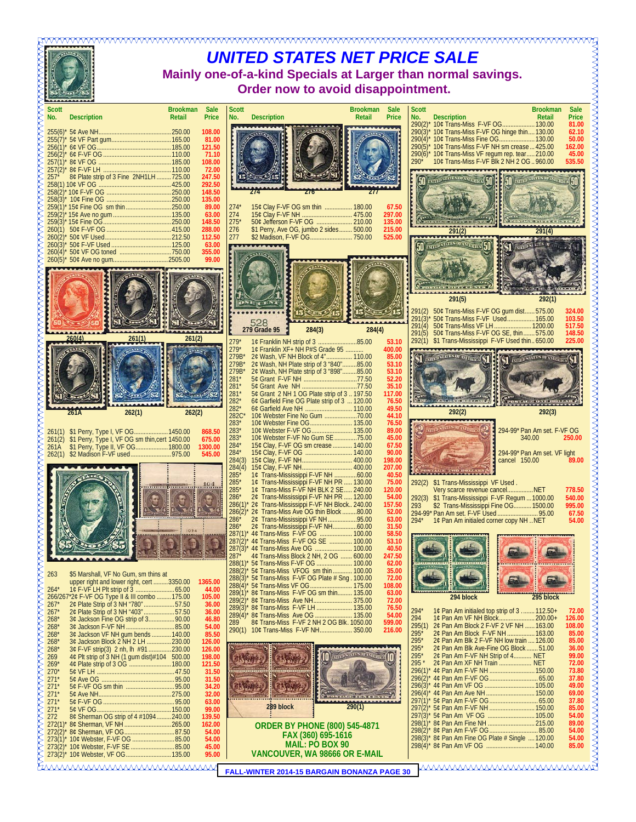

## *UNITED STATES NET PRICE SALE* **Mainly one-of-a-kind Specials at Larger than normal savings. Order now to avoid disappointment.**

| <b>UNITED STATES NET PRICE SALE</b><br>Mainly one-of-a-kind Specials at Larger than normal savings.<br>Order now to avoid disappointment.                                                                                                                                                                                                                                                                                                                                                                                                                                                                                                                                                                                                                                                                                                                                                                                                                                                                                                                                                                                                                                                                                                                                    |                                                                                                                                                                                                                                                                                                                                                                                                                                                                                                                                                                                                                                                                                                                                                                                                                                                                                                                                                                                                                                                                                                                                                                                                                                                                                                                                                                                                                                                                                                                                                                                                                                                                                                                                                                                                                                                                                                                                                                                                                                                                                                                                                                                                                                                                                                                                                                                                  |                                                                                                                                                                                                                                                                                                                                                                                                                                                                                                                                                                                                                                                                                                                                                                                                                                                                                                                                                                                                                                                                                                                                                                                                                                                                                                                                                                                                                                                                                                                                                                                                                                                                                                                                                                                                                                                                  |  |  |  |  |  |  |
|------------------------------------------------------------------------------------------------------------------------------------------------------------------------------------------------------------------------------------------------------------------------------------------------------------------------------------------------------------------------------------------------------------------------------------------------------------------------------------------------------------------------------------------------------------------------------------------------------------------------------------------------------------------------------------------------------------------------------------------------------------------------------------------------------------------------------------------------------------------------------------------------------------------------------------------------------------------------------------------------------------------------------------------------------------------------------------------------------------------------------------------------------------------------------------------------------------------------------------------------------------------------------|--------------------------------------------------------------------------------------------------------------------------------------------------------------------------------------------------------------------------------------------------------------------------------------------------------------------------------------------------------------------------------------------------------------------------------------------------------------------------------------------------------------------------------------------------------------------------------------------------------------------------------------------------------------------------------------------------------------------------------------------------------------------------------------------------------------------------------------------------------------------------------------------------------------------------------------------------------------------------------------------------------------------------------------------------------------------------------------------------------------------------------------------------------------------------------------------------------------------------------------------------------------------------------------------------------------------------------------------------------------------------------------------------------------------------------------------------------------------------------------------------------------------------------------------------------------------------------------------------------------------------------------------------------------------------------------------------------------------------------------------------------------------------------------------------------------------------------------------------------------------------------------------------------------------------------------------------------------------------------------------------------------------------------------------------------------------------------------------------------------------------------------------------------------------------------------------------------------------------------------------------------------------------------------------------------------------------------------------------------------------------------------------------|------------------------------------------------------------------------------------------------------------------------------------------------------------------------------------------------------------------------------------------------------------------------------------------------------------------------------------------------------------------------------------------------------------------------------------------------------------------------------------------------------------------------------------------------------------------------------------------------------------------------------------------------------------------------------------------------------------------------------------------------------------------------------------------------------------------------------------------------------------------------------------------------------------------------------------------------------------------------------------------------------------------------------------------------------------------------------------------------------------------------------------------------------------------------------------------------------------------------------------------------------------------------------------------------------------------------------------------------------------------------------------------------------------------------------------------------------------------------------------------------------------------------------------------------------------------------------------------------------------------------------------------------------------------------------------------------------------------------------------------------------------------------------------------------------------------------------------------------------------------|--|--|--|--|--|--|
| <b>Sale</b><br><b>Brookman</b><br><b>Description</b><br>Price<br>No.<br>Retail<br>108.00<br>81.00<br>121.50<br>71.10<br>$256(2)$ *<br>108.00<br>72.00<br>$257(2)$ <sup>*</sup><br>8¢ Plate strip of 3 Fine 2NH1LH 725.00<br>247.50<br>$257*$<br>292.50<br>148.50<br>135.00<br>89.00<br>63.00<br>148.50<br>288.00<br>112.50<br>63.00<br>$260(3)^{*}$<br>355.00<br>99.00<br>261(1)<br>261(2)<br>262(1)<br>262(2)<br>261A<br>261(1) \$1 Perry, Type I, VF OG1450.00<br>868.50<br>\$1 Perry, Type I, VF OG sm thin, cert 1450.00<br>675.00<br>261(2)<br>\$1 Perry, Type II, VF OG1800.00<br>1300.00<br>261A<br>545.00<br>262(1)<br>1094<br>\$5 Marshall, VF No Gum, sm thins at<br>263<br>upper right and lower right, cert 3350.00<br>1365.00<br>264<br>44.00<br>57*2¢ F-VF OG Type II & III combo 175.00<br>105.00<br>266/2<br>267<br>2¢ Plate Strip of 3 NH "780"57.50<br>36.00<br>267'<br>2¢ Plate Strip of 3 NH "403"57.50<br>36.00<br>$268*$<br>46.80<br>$268*$<br>54.00<br>$268*$<br>85.50<br>3¢ Jackson VF NH gum bends 140.00<br>268'<br>3¢ Jackson Block 2 NH 2 LH 230.00<br>126.00<br>3¢ F-VF strip(3) 2 nh, lh #91 230.00<br>268'<br>126.00<br>269<br>4¢ Plt strip of 3 NH (1 gum dist)#104 500.00<br>198.00<br>$269*$<br>121.50<br>$270*$<br>31.50<br>271'<br>31.50 | <b>Scott</b><br><b>Brookman</b><br><b>Sale</b><br>No.<br>Price<br><b>Description</b><br>Retail<br>274<br>15¢ Clay F-VF OG sm thin  180.00<br>67.50<br>274<br>297.00<br>275'<br>50¢ Jefferson F-VF OG  210.00<br>135.00<br>\$1 Perry, Ave OG, jumbo 2 sides 500.00<br>276<br>215.00<br>277<br>525.00<br>284(3)<br>284(4)<br>279 Grade 95<br>$279*$<br>1¢ Franklin NH strip of 3 85.00<br>53.10<br>$279*$<br>1¢ Franklin XF+ NH P#S Grade 95<br>400.00<br>279B<br>2¢ Wash, VF NH Block of 4" 110.00<br>85.00<br>279B'<br>2¢ Wash, NH Plate strip of 3 "840"85.00<br>53.10<br>279B*<br>2¢ Wash, NH Plate strip of 3 "898"85.00<br>53.10<br>5¢ Grant F-VF NH 77.50<br>281*<br>52.20<br>281*<br>35.10<br>281*<br>5¢ Grant 2 NH 1 OG Plate strip of 3  197.50<br>117.00<br>$282*$<br>6¢ Garfield Fine OG Plate strip of 3  120.00<br>76.50<br>282*<br>49.50<br>282C<br>44.10<br>283'<br>76.50<br>10¢ Webster F-VF OG 135.00<br>89.00<br>$283*$<br>10¢ Webster F-VF No Gum SE 75.00<br>$283*$<br>45.00<br>$284*$<br>15¢ Clay, F-VF OG sm crease  140.00<br>67.50<br>15¢ Clay, F-VF OG  140.00<br>90.00<br>$284*$<br>284(3)<br>198.00<br>15¢ Clay, F-VF NH 400.00<br>284(4)<br>207.00<br>10 Trans-Mississippi F-VF NH 60.00<br>285'<br>40.50<br>285'<br>10 Trans-Mississippi F-VF NH PR  130.00<br>75.00<br>285'<br>10 Trans-Miss F-VF NH BLK 2 SE 240.00<br>120.00<br>2¢ Trans-Mississippi F-VF NH PR  120.00<br>286'<br>54.00<br>286(1)<br>2¢ Trans-Mississippi F-VF NH Block 240.00<br>157.50<br>286(2)*<br>2¢ Trans-Miss Ave OG thin Block 80.00<br>52.00<br>286'<br>2¢ Trans-Mississippi VF NH95.00<br>63.00<br>2¢ Trans-Mississippi F-VF NH60.00<br>286*<br>31.50<br>287(1)* 4¢ Trans-Miss F-VF OG  100.00<br>58.50<br>287(2)* 4¢ Trans-Miss F-VF OG SE  100.00<br>53.10<br>287(3)* 4¢ Trans-Miss Ave OG  100.00<br>40.50<br>4¢ Trans-Miss Block 2 NH, 2 OG  600.00<br>287*<br>247.50<br>288(1)* 5¢ Trans-Miss F-VF OG  100.00<br>62.00<br>288(2)* 5¢ Trans-Miss VFOG sm thin  100.00<br>35.00<br>288(3)* 5¢ Trans-Miss F-VF OG Plate # Sng. 100.00<br>72.00<br>288(4)* 5¢ Trans-Miss VF OG  175.00<br>108.00<br>289(1)* 8¢ Trans-Miss F-VF OG sm thin 135.00<br>63.00<br>72.00<br>289(3)* 8¢ Trans-Miss F-VF LH  135.00<br>76.50<br>289(4)* 8¢ Trans-Miss Ave OG  135.00<br>54.00<br>8¢ Trans-Miss F-VF 2 NH 2 OG Blk. 1050.00<br>599.00<br>289<br>290(1) 10¢ Trans-Miss F-VF NH 350.00<br>216.00 | <b>Brookman</b><br><b>Sale</b><br>Scott<br>No.<br><b>Description</b><br>Retail<br>Price<br>290(2)* 10¢ Trans-Miss F-VF OG 130.00<br>81.00<br>290(3)* 10¢ Trans-Miss F-VF OG hinge thin 130.00<br>62.10<br>290(4)* 10¢ Trans-Miss Fine OG 130.00<br>50.00<br>290(5)* 10¢ Trans-Miss F-VF NH sm crease  425.00<br>162.00<br>290(6)* 10¢ Trans-Miss VF regum rep. tear 210.00<br>45.00<br>10¢ Trans-Miss F-VF Blk 2 NH 2 OG  960.00<br>$290*$<br>535.50<br>291(2)<br>291(4)<br>291(5)<br>292(1)<br>291(2) 50¢ Trans-Miss F-VF OG gum dist 575.00<br>324.00<br>ANNANNANNANNAN<br>$291(3)^{*}$<br>50¢ Trans-Miss F-VF Used 165.00<br>103.50<br>50¢ Trans-Miss VF LH  1200.00<br>291(4)<br>517.50<br>291(5) 50¢ Trans-Miss F-VF OG SE, thin  575.00<br>148.50<br>292(1) \$1 Trans-Mississippi F-VF Used thin650.00<br>225.00<br>292(2)<br>292(3)<br>294-99* Pan Am set. F-VF OG<br>340.00<br>250.00<br>294-99* Pan Am set. VF light<br>cancel 150.00<br>292(2) \$1 Trans-Mississippi VF Used.<br>Very scarce revenue cancelNET<br>778.50<br>292(3) \$1 Trans-Mississippi F-VF Regum  1000.00<br>540.00<br>\$2 Trans-Mississippi Fine OG 1500.00<br>995.00<br>www.www.www.www.www.www.www.www.<br>http://www.www.www.www.www.www.ww<br>67.50<br>$294*$<br>54.00<br>1¢ Pan Am initialed corner copy NH NET<br>294 block<br>295 block<br>$294*$<br>1¢ Pan Am initialed top strip of 3  112.50+<br>72.00<br>294<br>1¢ Pan Am VF NH Block 200.00+<br>126.00<br>295(1)<br>2¢ Pan Am Block 2 F-VF 2 VF NH  163.00<br>108.00<br>$295*$<br>2¢ Pan Am Block F-VF NH  163.00<br>85.00<br>295*<br>2¢ Pan Am Blk 2 F-VF NH low train  126.00<br>85.00<br>295*<br>2¢ Pan Am Blk Ave-Fine OG Block  51.00<br>36.00<br>295*<br>2¢ Pan Am F-VF NH Strip of 4 NET<br>99.00<br>295<br>2¢ Pan Am XF NH Train  NET<br>72.00<br>296(1)* 4¢ Pan Am F-VF NH  150.00<br>73.80<br>37.80<br>49.00 |  |  |  |  |  |  |
| $271*$<br>34.20<br>$271*$<br>32.00<br>$271*$<br>63.00<br>271'<br>99.00<br>8¢ Sherman OG strip of 4 #1094240.00<br>272<br>139.50<br>162.00<br>$272(1)$ <sup>*</sup><br>54.00<br>54.00<br>45.00<br>95.00<br>Emmmmmmmmmmmm                                                                                                                                                                                                                                                                                                                                                                                                                                                                                                                                                                                                                                                                                                                                                                                                                                                                                                                                                                                                                                                      | 289 block<br>290(1)<br><b>ORDER BY PHONE (800) 545-4871</b><br>FAX (360) 695-1616<br>MAIL: PO BOX 90<br>VANCOUVER, WA 98666 OR E-MAIL<br>FALL-WINTER 2014-15 BARGAIN BONANZA PAGE 30                                                                                                                                                                                                                                                                                                                                                                                                                                                                                                                                                                                                                                                                                                                                                                                                                                                                                                                                                                                                                                                                                                                                                                                                                                                                                                                                                                                                                                                                                                                                                                                                                                                                                                                                                                                                                                                                                                                                                                                                                                                                                                                                                                                                             | 69.00<br>37.80<br>85.00<br>54.00<br>298(1)* 8¢ Pan Am Fine NH  215.00<br>89.00<br>54.00<br>298(3)* 8¢ Pan Am Fine OG Plate # Single  120.00<br>54.00<br>85.00<br>wwwwwwwwwwww                                                                                                                                                                                                                                                                                                                                                                                                                                                                                                                                                                                                                                                                                                                                                                                                                                                                                                                                                                                                                                                                                                                                                                                                                                                                                                                                                                                                                                                                                                                                                                                                                                                                                    |  |  |  |  |  |  |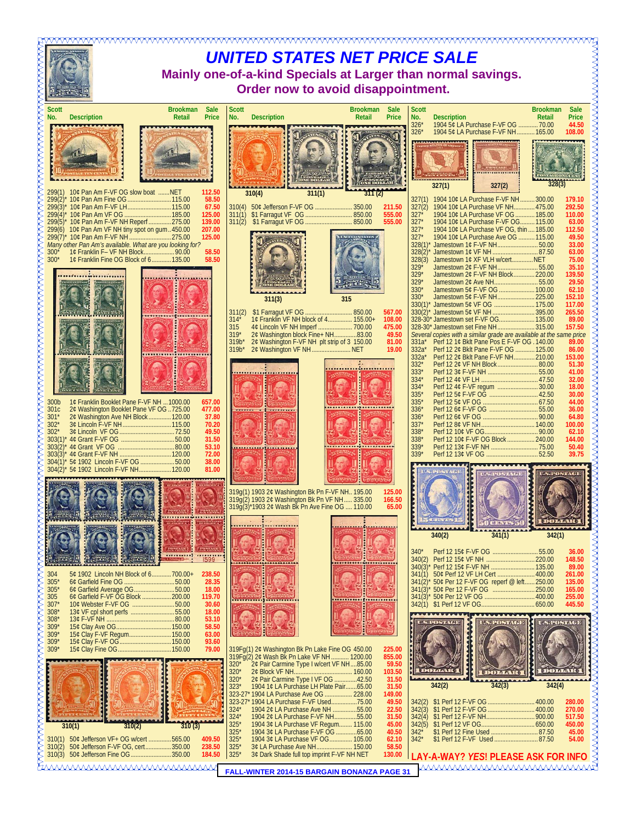| <b>UNITED STATES NET PRICE SALE</b><br>Mainly one-of-a-kind Specials at Larger than normal savings.<br>Order now to avoid disappointment.                                                                                                                                                                                                                                                                                                                       |                                                                                                                                                                                                                                                                                                                                                                                                                                                                                                                                                                                                                                                                                                         |                                                                                                                                                                                                                                                                                                                                                                                                                                                                                                                                                                                                                                                                    |  |  |  |  |  |  |  |
|-----------------------------------------------------------------------------------------------------------------------------------------------------------------------------------------------------------------------------------------------------------------------------------------------------------------------------------------------------------------------------------------------------------------------------------------------------------------|---------------------------------------------------------------------------------------------------------------------------------------------------------------------------------------------------------------------------------------------------------------------------------------------------------------------------------------------------------------------------------------------------------------------------------------------------------------------------------------------------------------------------------------------------------------------------------------------------------------------------------------------------------------------------------------------------------|--------------------------------------------------------------------------------------------------------------------------------------------------------------------------------------------------------------------------------------------------------------------------------------------------------------------------------------------------------------------------------------------------------------------------------------------------------------------------------------------------------------------------------------------------------------------------------------------------------------------------------------------------------------------|--|--|--|--|--|--|--|
| <b>Sale</b><br><b>Brookman</b><br>Scott<br><b>Description</b><br>Price<br>Retail                                                                                                                                                                                                                                                                                                                                                                                | <b>Scott</b><br><b>Brookman</b><br><b>Sale</b><br>No.<br><b>Description</b><br>Price<br>Retail                                                                                                                                                                                                                                                                                                                                                                                                                                                                                                                                                                                                          | <b>Brookman</b><br><b>Scott</b><br><b>Sale</b><br>No.<br><b>Description</b><br><b>Retail</b><br>Price<br>$326*$<br>1904 5¢ LA Purchase F-VF OG  70.00<br>44.50<br>$326*$<br>1904 5¢ LA Purchase F-VF NH 165.00<br>108.00<br>328(3)<br>327(1)<br>327(2)                                                                                                                                                                                                                                                                                                                                                                                                             |  |  |  |  |  |  |  |
| 299(1) 10¢ Pan Am F-VF OG slow boat NET<br>112.50<br>58.50<br>299(2)* 10¢ Pan Am Fine OG 115.00<br>299(3)* 10¢ Pan Am F-VF LH115.00<br>67.50<br>125.00<br>299(5)* 10¢ Pan Am F-VF NH Reperf275.00<br>139.00<br>299(6) 10¢ Pan Am VF NH tiny spot on gum450.00<br>207.00<br>125.00<br>Many other Pan Am's available. What are you looking for?<br>1¢ Franklin F- VF NH Block 90.00<br>300'<br>58.50<br>1¢ Franklin Fine OG Block of 6  135.00<br>$300*$<br>58.50 | 310(4)<br>311(1)<br>310(4) 50¢ Jefferson F-VF OG  350.00<br>211.50<br>555.00<br>555.00                                                                                                                                                                                                                                                                                                                                                                                                                                                                                                                                                                                                                  | 327(1) 1904 10¢ LA Purchase F-VF NH  300.00<br>179.10<br>1904 10¢ LA Purchase VF NH 475.00<br>327(2)<br>292.50<br>$327*$<br>1904 10¢ LA Purchase VF OG  185.00<br>110.00<br>$327*$<br>1904 10¢ LA Purchase F-VF OG  115.00<br>63.00<br>$327*$<br>1904 10¢ LA Purchase VF OG, thin  185.00<br>112.50<br>1904 10¢ LA Purchase Ave OG  115.00<br>$327*$<br>49.50<br>328(1)* Jamestown 1¢ F-VF NH 50.00<br>33.00<br>$328(2)$ *<br>63.00<br>Jamestown 1¢ XF VLH w/cert NET<br>328(3)<br>75.00<br>$329*$<br>Jamestown 2¢ F-VF NH 55.00<br>35.10<br>$329*$<br>Jamestown 2¢ F-VF NH Block 220.00<br>139.50                                                                 |  |  |  |  |  |  |  |
| PRESENTANT PRESENTAN PERSONAL PRESENTANT PRESENTANT PRESENTANT PRESENTANT PRESENT                                                                                                                                                                                                                                                                                                                                                                               | 311(3)<br>315<br>311(2)<br>567.00<br>1¢ Franklin VF NH block of 4 155.00+<br>108.00<br>$314*$<br>315<br>4¢ Lincoln VF NH Imperf  700.00<br>475.00<br>2¢ Washington block Fine+ NH83.00<br>$319*$<br>49.50<br>2¢ Washington F-VF NH plt strip of 3 150.00<br>$319b*$<br>81.00<br>2¢ Washington VF NH NET<br>19.00<br>$319b*$                                                                                                                                                                                                                                                                                                                                                                             | 329*<br>29.50<br>Jamestown 5¢ F-VF OG  100.00<br>330'<br>62.10<br>$330*$<br>Jamestown 5¢ F-VF NH 225.00<br>152.10<br>330(1)* Jamestown 5¢ VF OG  175.00<br>117.00<br>330(2)* Jamestown 5¢ VF NH 395.00<br>265.50<br>328-30* Jamestown set F-VF OG 135.00<br>89.00<br>328-30* Jamestown set Fine NH 315.00<br>157.50<br>Several copies with a similar grade are available at the same price<br>331a* Perf 12 1¢ Bklt Pane Pos E F-VF OG . 140.00<br>89.00<br>332a* Perf 12 2¢ Bklt Pane F-VF OG  125.00<br>86.00<br>Perf 12 2¢ Bklt Pane F-VF NH 210.00<br>$332a^*$<br>153.00<br>Perf 12 2¢ VF NH Block  80.00<br>$332*$<br>51.30<br>333*<br>41.00<br>334*<br>32.00 |  |  |  |  |  |  |  |
| 1¢ Franklin Booklet Pane F-VF NH  1000.00<br>300 <sub>b</sub><br>657.00<br>2¢ Washington Booklet Pane VF OG  725.00<br>301c<br>477.00<br>2¢ Washington Ave NH Block  120.00<br>$301*$<br>37.80<br>3¢ Lincoln F-VF NH115.00<br>$302*$<br>70.20<br>302'<br>49.50<br>31.50<br>53.10<br>72.00<br>304(1)* 5¢ 1902 Lincoln F-VF OG 50.00<br>38.00<br>304(2)* 5¢ 1902 Lincoln F-VF NH120.00<br>81.00                                                                   |                                                                                                                                                                                                                                                                                                                                                                                                                                                                                                                                                                                                                                                                                                         | $334*$<br>18.00<br>335*<br>30.00<br>335'<br>44.00<br>$336*$<br>36.00<br>336*<br>64.80<br>$337*$<br>100.00<br>338*<br>62.10<br>338*<br>Perf 12 10¢ F-VF OG Block  240.00<br>144.00<br>339*<br>50.40<br>339*<br>39.75                                                                                                                                                                                                                                                                                                                                                                                                                                                |  |  |  |  |  |  |  |
| <br><br>1599                                                                                                                                                                                                                                                                                                                                                                                                                                                    | 319q(1) 1903 2¢ Washington Bk Pn F-VF NH 195.00<br>125.00<br>319g(2) 1903 2¢ Washington Bk Pn VF NH  335.00<br>166.50<br>319g(3)*1903 2¢ Wash Bk Pn Ave Fine OG  110.00<br>65.00<br>**********************<br>                                                                                                                                                                                                                                                                                                                                                                                                                                                                                          | 340(2)<br>341(1)<br>342(1)<br>$340*$<br>36.00<br>148.50<br>340(2)<br>340(3)* Perf 12 15¢ F-VF NH  135.00<br>89.00                                                                                                                                                                                                                                                                                                                                                                                                                                                                                                                                                  |  |  |  |  |  |  |  |
| 5¢ 1902 Lincoln NH Block of 6 700.00+<br>304<br>238.50<br>$305*$<br>28.35<br>305'<br>18.00<br>6¢ Garfield F-VF OG Block 200.00<br>305<br>119.70<br>$307*$<br>10¢ Webster F-VF OG 50.00<br>30.60<br>13¢ VF cpl short perfs 55.00<br>$308*$<br>18.00<br>$308*$<br>53.10<br>$309*$<br>58.50<br>15¢ Clay F-VF Regum 150.00<br>$309*$<br>63.00<br>$309*$<br>93.60<br>$309*$<br>79.00                                                                                 | <b>PERSONAL ANTISERS</b><br>319Fg(1) 2¢ Washington Bk Pn Lake Fine OG 450.00<br>225.00                                                                                                                                                                                                                                                                                                                                                                                                                                                                                                                                                                                                                  | 341(1) 50¢ Perf 12 VF LH Cert  400.00<br>261.00<br>341(2)* 50¢ Per 12 F-VF OG reperf @ left 250.00<br>135.00<br>165.00<br>255.00<br>445.50<br><b>U.S.POSTAGE</b><br><b>BSPOSTAGE</b><br><b>U.S.POSTAGE</b>                                                                                                                                                                                                                                                                                                                                                                                                                                                         |  |  |  |  |  |  |  |
| 310(1)<br>310(2)<br>310(3)<br>310(1) 50¢ Jefferson VF+ OG w/cert 565.00<br>409.50<br>310(2) 50¢ Jefferson F-VF OG, cert350.00<br>238.50                                                                                                                                                                                                                                                                                                                         | 319Fq(2) 2¢ Wash Bk Pn Lake VF NH  1200.00<br>855.00<br>2¢ Pair Carmine Type I w/cert VF NH85.00<br>59.50<br>$320*$<br>$320*$<br>103.50<br>$320*$<br>2¢ Pair Carmine Type I VF OG 42.50<br>31.50<br>1904 10 LA Purchase LH Plate Pair65.00<br>$323*$<br>31.50<br>323-27* 1904 LA Purchase Ave OG  228.00<br>149.00<br>323-27* 1904 LA Purchase F-VF Used75.00<br>49.50<br>1904 2¢ LA Purchase Ave NH 55.00<br>324'<br>22.50<br>$324*$<br>1904 2¢ LA Purchase F-VF NH55.00<br>31.50<br>325'<br>1904 3¢ LA Purchase VF Regum 115.00<br>45.00<br>325'<br>1904 3¢ LA Purchase F-VF OG 65.00<br>40.50<br>325'<br>1904 3¢ LA Purchase VF OG  105.00<br>62.10<br>325'<br>3¢ LA Purchase Ave NH 150.00<br>58.50 | <b>TEDEMAR</b><br>342(4)<br>342(2)<br>342(3)<br>WWWW<br>342(2)<br>\$1 Perf 12 F-VF OG  400.00<br>280.00<br>342(3)<br>270.00<br>517.50<br>450.00<br>\$1 Perf 12 Fine Used  87.50<br>$342*$<br>45.00<br>$342*$<br>54.00                                                                                                                                                                                                                                                                                                                                                                                                                                              |  |  |  |  |  |  |  |
| 310(3) 50¢ Jefferson Fine OG 350.00<br>184.50<br>Finnnnnnnnnnnnnnnnnn                                                                                                                                                                                                                                                                                                                                                                                           | 325'<br>3¢ Dark Shade full top imprint F-VF NH NET<br>130.00<br>FALL-WINTER 2014-15 BARGAIN BONANZA PAGE 31                                                                                                                                                                                                                                                                                                                                                                                                                                                                                                                                                                                             | LAY-A-WAY? YES! PLEASE ASK FOR INFO<br>nnnnnnnnnnnnnnnnnnn                                                                                                                                                                                                                                                                                                                                                                                                                                                                                                                                                                                                         |  |  |  |  |  |  |  |